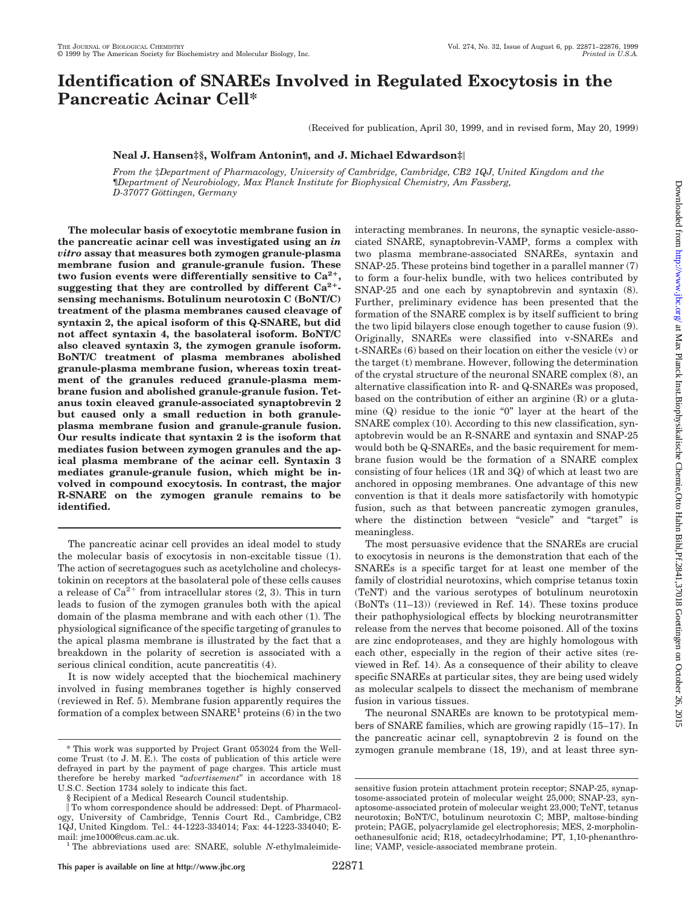# **Identification of SNAREs Involved in Regulated Exocytosis in the Pancreatic Acinar Cell\***

(Received for publication, April 30, 1999, and in revised form, May 20, 1999)

# **Neal J. Hansen‡§, Wolfram Antonin¶, and J. Michael Edwardson‡**i

*From the* ‡*Department of Pharmacology, University of Cambridge, Cambridge, CB2 1QJ, United Kingdom and the* ¶*Department of Neurobiology, Max Planck Institute for Biophysical Chemistry, Am Fassberg, D-37077 Go¨ttingen, Germany*

**The molecular basis of exocytotic membrane fusion in the pancreatic acinar cell was investigated using an** *in vitro* **assay that measures both zymogen granule-plasma membrane fusion and granule-granule fusion. These** two fusion events were differentially sensitive to  $Ca^{2+}$ , **suggesting that they are controlled by different Ca2**1 **sensing mechanisms. Botulinum neurotoxin C (BoNT/C) treatment of the plasma membranes caused cleavage of syntaxin 2, the apical isoform of this Q-SNARE, but did not affect syntaxin 4, the basolateral isoform. BoNT/C also cleaved syntaxin 3, the zymogen granule isoform. BoNT/C treatment of plasma membranes abolished granule-plasma membrane fusion, whereas toxin treatment of the granules reduced granule-plasma membrane fusion and abolished granule-granule fusion. Tetanus toxin cleaved granule-associated synaptobrevin 2 but caused only a small reduction in both granuleplasma membrane fusion and granule-granule fusion. Our results indicate that syntaxin 2 is the isoform that mediates fusion between zymogen granules and the apical plasma membrane of the acinar cell. Syntaxin 3 mediates granule-granule fusion, which might be involved in compound exocytosis. In contrast, the major R-SNARE on the zymogen granule remains to be identified.**

The pancreatic acinar cell provides an ideal model to study the molecular basis of exocytosis in non-excitable tissue (1). The action of secretagogues such as acetylcholine and cholecystokinin on receptors at the basolateral pole of these cells causes a release of  $Ca^{2+}$  from intracellular stores  $(2, 3)$ . This in turn leads to fusion of the zymogen granules both with the apical domain of the plasma membrane and with each other (1). The physiological significance of the specific targeting of granules to the apical plasma membrane is illustrated by the fact that a breakdown in the polarity of secretion is associated with a serious clinical condition, acute pancreatitis (4).

It is now widely accepted that the biochemical machinery involved in fusing membranes together is highly conserved (reviewed in Ref. 5). Membrane fusion apparently requires the formation of a complex between  $SNARE<sup>1</sup>$  proteins (6) in the two ciated SNARE, synaptobrevin-VAMP, forms a complex with two plasma membrane-associated SNAREs, syntaxin and SNAP-25. These proteins bind together in a parallel manner (7) to form a four-helix bundle, with two helices contributed by SNAP-25 and one each by synaptobrevin and syntaxin (8). Further, preliminary evidence has been presented that the formation of the SNARE complex is by itself sufficient to bring the two lipid bilayers close enough together to cause fusion (9). Originally, SNAREs were classified into v-SNAREs and t-SNAREs (6) based on their location on either the vesicle (v) or the target (t) membrane. However, following the determination of the crystal structure of the neuronal SNARE complex (8), an alternative classification into R- and Q-SNAREs was proposed, based on the contribution of either an arginine (R) or a glutamine (Q) residue to the ionic "0" layer at the heart of the SNARE complex (10). According to this new classification, synaptobrevin would be an R-SNARE and syntaxin and SNAP-25 would both be Q-SNAREs, and the basic requirement for membrane fusion would be the formation of a SNARE complex consisting of four helices (1R and 3Q) of which at least two are anchored in opposing membranes. One advantage of this new convention is that it deals more satisfactorily with homotypic fusion, such as that between pancreatic zymogen granules, where the distinction between "vesicle" and "target" is meaningless.

interacting membranes. In neurons, the synaptic vesicle-asso-

The most persuasive evidence that the SNAREs are crucial to exocytosis in neurons is the demonstration that each of the SNAREs is a specific target for at least one member of the family of clostridial neurotoxins, which comprise tetanus toxin (TeNT) and the various serotypes of botulinum neurotoxin (BoNTs (11–13)) (reviewed in Ref. 14). These toxins produce their pathophysiological effects by blocking neurotransmitter release from the nerves that become poisoned. All of the toxins are zinc endoproteases, and they are highly homologous with each other, especially in the region of their active sites (reviewed in Ref. 14). As a consequence of their ability to cleave specific SNAREs at particular sites, they are being used widely as molecular scalpels to dissect the mechanism of membrane fusion in various tissues.

The neuronal SNAREs are known to be prototypical members of SNARE families, which are growing rapidly (15–17). In the pancreatic acinar cell, synaptobrevin 2 is found on the \* This work was supported by Project Grant 053024 from the Well- zymogen granule membrane (18, 19), and at least three syn-

come Trust (to J. M. E.). The costs of publication of this article were defrayed in part by the payment of page charges. This article must therefore be hereby marked "*advertisement*" in accordance with 18 U.S.C. Section 1734 solely to indicate this fact.

<sup>§</sup> Recipient of a Medical Research Council studentship.

i To whom correspondence should be addressed: Dept. of Pharmacology, University of Cambridge, Tennis Court Rd., Cambridge, CB2 1QJ, United Kingdom. Tel.: 44-1223-334014; Fax: 44-1223-334040; E-

mail: jme1000@cus.cam.ac.uk. <sup>1</sup> The abbreviations used are: SNARE, soluble *<sup>N</sup>*-ethylmaleimide-

sensitive fusion protein attachment protein receptor; SNAP-25, synaptosome-associated protein of molecular weight 25,000; SNAP-23, synaptosome-associated protein of molecular weight 23,000; TeNT, tetanus neurotoxin; BoNT/C, botulinum neurotoxin C; MBP, maltose-binding protein; PAGE, polyacrylamide gel electrophoresis; MES, 2-morpholinoethanesulfonic acid; R18, octadecylrhodamine; PT, 1,10-phenanthroline; VAMP, vesicle-associated membrane protein.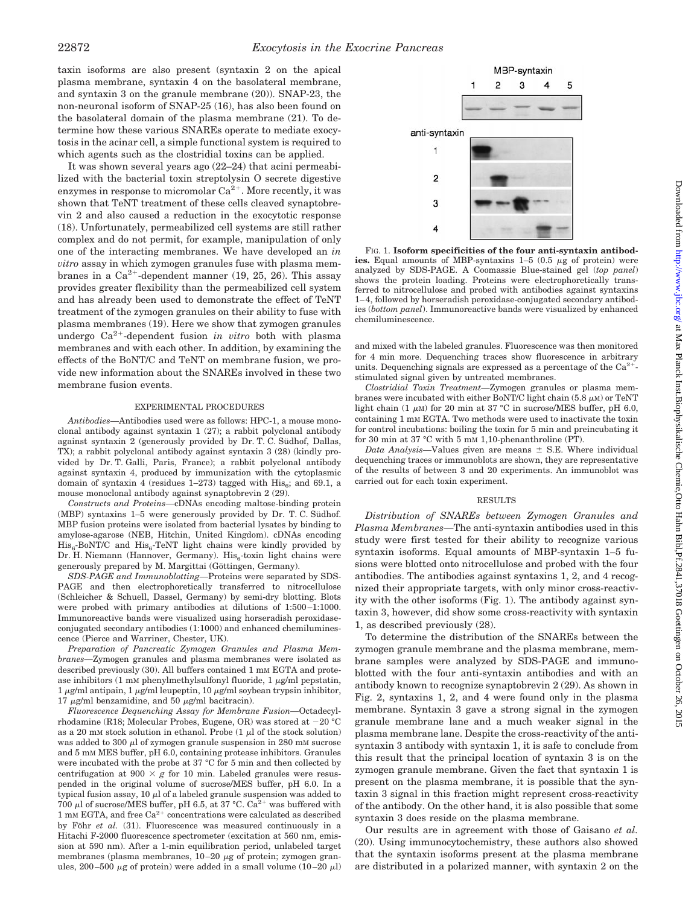taxin isoforms are also present (syntaxin 2 on the apical plasma membrane, syntaxin 4 on the basolateral membrane, and syntaxin 3 on the granule membrane (20)). SNAP-23, the non-neuronal isoform of SNAP-25 (16), has also been found on the basolateral domain of the plasma membrane (21). To determine how these various SNAREs operate to mediate exocytosis in the acinar cell, a simple functional system is required to which agents such as the clostridial toxins can be applied.

It was shown several years ago (22–24) that acini permeabilized with the bacterial toxin streptolysin O secrete digestive enzymes in response to micromolar  $Ca^{2+}$ . More recently, it was shown that TeNT treatment of these cells cleaved synaptobrevin 2 and also caused a reduction in the exocytotic response (18). Unfortunately, permeabilized cell systems are still rather complex and do not permit, for example, manipulation of only one of the interacting membranes. We have developed an *in vitro* assay in which zymogen granules fuse with plasma membranes in a  $Ca^{2+}$ -dependent manner (19, 25, 26). This assay provides greater flexibility than the permeabilized cell system and has already been used to demonstrate the effect of TeNT treatment of the zymogen granules on their ability to fuse with plasma membranes (19). Here we show that zymogen granules undergo  $Ca^{2+}$ -dependent fusion *in vitro* both with plasma membranes and with each other. In addition, by examining the effects of the BoNT/C and TeNT on membrane fusion, we provide new information about the SNAREs involved in these two membrane fusion events.

#### EXPERIMENTAL PROCEDURES

*Antibodies*—Antibodies used were as follows: HPC-1, a mouse monoclonal antibody against syntaxin 1 (27); a rabbit polyclonal antibody against syntaxin 2 (generously provided by Dr. T. C. Südhof, Dallas, TX); a rabbit polyclonal antibody against syntaxin 3 (28) (kindly provided by Dr. T. Galli, Paris, France); a rabbit polyclonal antibody against syntaxin 4, produced by immunization with the cytoplasmic domain of syntaxin 4 (residues  $1-273$ ) tagged with  $His<sub>6</sub>$ ; and 69.1, a mouse monoclonal antibody against synaptobrevin 2 (29).

*Constructs and Proteins*—cDNAs encoding maltose-binding protein  $(MBP)$  syntaxins 1–5 were generously provided by Dr. T. C. Südhof. MBP fusion proteins were isolated from bacterial lysates by binding to amylose-agarose (NEB, Hitchin, United Kingdom). cDNAs encoding  $His<sub>6</sub>-BoNT/C$  and  $His<sub>6</sub>-TeVT$  light chains were kindly provided by Dr. H. Niemann (Hannover, Germany). His $_6$ -toxin light chains were generously prepared by M. Margittai (Göttingen, Germany).

*SDS-PAGE and Immunoblotting*—Proteins were separated by SDS-PAGE and then electrophoretically transferred to nitrocellulose (Schleicher & Schuell, Dassel, Germany) by semi-dry blotting. Blots were probed with primary antibodies at dilutions of 1:500–1:1000. Immunoreactive bands were visualized using horseradish peroxidaseconjugated secondary antibodies (1:1000) and enhanced chemiluminescence (Pierce and Warriner, Chester, UK).

*Preparation of Pancreatic Zymogen Granules and Plasma Membranes*—Zymogen granules and plasma membranes were isolated as described previously (30). All buffers contained 1 mm EGTA and protease inhibitors  $(1 \text{ mm phenylmethylsulfonyl fluoride}, 1 \mu\text{g/ml pepstatin},$ 1  $\mu$ g/ml antipain, 1  $\mu$ g/ml leupeptin, 10  $\mu$ g/ml soybean trypsin inhibitor, 17  $\mu$ g/ml benzamidine, and 50  $\mu$ g/ml bacitracin).

*Fluorescence Dequenching Assay for Membrane Fusion*—Octadecylrhodamine (R18; Molecular Probes, Eugene, OR) was stored at  $-20$  °C as a 20 mM stock solution in ethanol. Probe  $(1 \mu)$  of the stock solution) was added to 300  $\mu$ l of zymogen granule suspension in 280 mM sucrose and 5 mM MES buffer, pH 6.0, containing protease inhibitors. Granules were incubated with the probe at 37 °C for 5 min and then collected by centrifugation at 900  $\times g$  for 10 min. Labeled granules were resuspended in the original volume of sucrose/MES buffer, pH 6.0. In a typical fusion assay, 10  $\mu$ l of a labeled granule suspension was added to 700 µl of sucrose/MES buffer, pH 6.5, at 37 °C. Ca<sup>2+</sup> was buffered with 1 mM EGTA, and free  $Ca^{2+}$  concentrations were calculated as described by Föhr *et al.* (31). Fluorescence was measured continuously in a Hitachi F-2000 fluorescence spectrometer (excitation at 560 nm, emission at 590 nm). After a 1-min equilibration period, unlabeled target membranes (plasma membranes,  $10-20 \mu$ g of protein; zymogen granules, 200–500  $\mu$ g of protein) were added in a small volume (10–20  $\mu$ l)



FIG. 1. **Isoform specificities of the four anti-syntaxin antibod**ies. Equal amounts of MBP-syntaxins  $1-5$   $(0.5 \ \mu g)$  of protein) were analyzed by SDS-PAGE. A Coomassie Blue-stained gel (*top panel*) shows the protein loading. Proteins were electrophoretically transferred to nitrocellulose and probed with antibodies against syntaxins 1–4, followed by horseradish peroxidase-conjugated secondary antibodies (*bottom panel*). Immunoreactive bands were visualized by enhanced chemiluminescence.

and mixed with the labeled granules. Fluorescence was then monitored for 4 min more. Dequenching traces show fluorescence in arbitrary units. Dequenching signals are expressed as a percentage of the  $Ca^{2+}$ stimulated signal given by untreated membranes.

*Clostridial Toxin Treatment*—Zymogen granules or plasma membranes were incubated with either BoNT/C light chain  $(5.8 \mu M)$  or TeNT light chain (1  $\mu$ M) for 20 min at 37 °C in sucrose/MES buffer, pH 6.0, containing 1 mM EGTA. Two methods were used to inactivate the toxin for control incubations: boiling the toxin for 5 min and preincubating it for 30 min at 37 °C with 5 mm 1,10-phenanthroline (PT).

*Data Analysis*—Values given are means  $\pm$  S.E. Where individual dequenching traces or immunoblots are shown, they are representative of the results of between 3 and 20 experiments. An immunoblot was carried out for each toxin experiment.

### RESULTS

*Distribution of SNAREs between Zymogen Granules and Plasma Membranes*—The anti-syntaxin antibodies used in this study were first tested for their ability to recognize various syntaxin isoforms. Equal amounts of MBP-syntaxin 1–5 fusions were blotted onto nitrocellulose and probed with the four antibodies. The antibodies against syntaxins 1, 2, and 4 recognized their appropriate targets, with only minor cross-reactivity with the other isoforms (Fig. 1). The antibody against syntaxin 3, however, did show some cross-reactivity with syntaxin 1, as described previously (28).

To determine the distribution of the SNAREs between the zymogen granule membrane and the plasma membrane, membrane samples were analyzed by SDS-PAGE and immunoblotted with the four anti-syntaxin antibodies and with an antibody known to recognize synaptobrevin 2 (29). As shown in Fig. 2, syntaxins 1, 2, and 4 were found only in the plasma membrane. Syntaxin 3 gave a strong signal in the zymogen granule membrane lane and a much weaker signal in the plasma membrane lane. Despite the cross-reactivity of the antisyntaxin 3 antibody with syntaxin 1, it is safe to conclude from this result that the principal location of syntaxin 3 is on the zymogen granule membrane. Given the fact that syntaxin 1 is present on the plasma membrane, it is possible that the syntaxin 3 signal in this fraction might represent cross-reactivity of the antibody. On the other hand, it is also possible that some syntaxin 3 does reside on the plasma membrane.

Our results are in agreement with those of Gaisano *et al.* (20). Using immunocytochemistry, these authors also showed that the syntaxin isoforms present at the plasma membrane are distributed in a polarized manner, with syntaxin 2 on the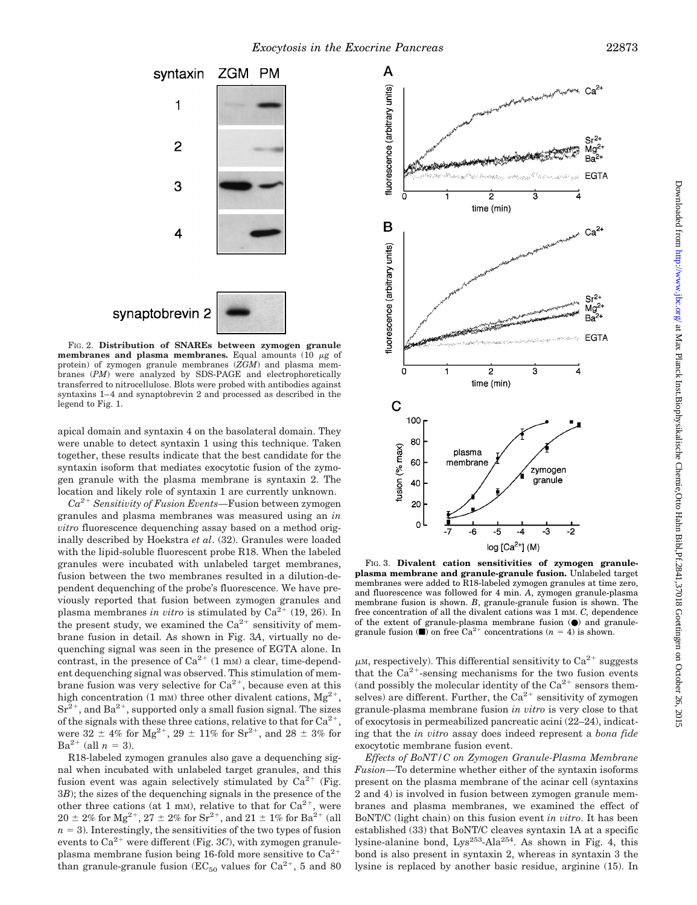

FIG. 2. **Distribution of SNAREs between zymogen granule membranes and plasma membranes.** Equal amounts (10  $\mu$ g of protein) of zymogen granule membranes (*ZGM*) and plasma membranes (*PM*) were analyzed by SDS-PAGE and electrophoretically transferred to nitrocellulose. Blots were probed with antibodies against syntaxins 1–4 and synaptobrevin 2 and processed as described in the legend to Fig. 1.

apical domain and syntaxin 4 on the basolateral domain. They were unable to detect syntaxin 1 using this technique. Taken together, these results indicate that the best candidate for the syntaxin isoform that mediates exocytotic fusion of the zymogen granule with the plasma membrane is syntaxin 2. The location and likely role of syntaxin 1 are currently unknown.

 $Ca^{2+}$  *Sensitivity of Fusion Events*—Fusion between zymogen granules and plasma membranes was measured using an *in vitro* fluorescence dequenching assay based on a method originally described by Hoekstra *et al*. (32). Granules were loaded with the lipid-soluble fluorescent probe R18. When the labeled granules were incubated with unlabeled target membranes, fusion between the two membranes resulted in a dilution-dependent dequenching of the probe's fluorescence. We have previously reported that fusion between zymogen granules and plasma membranes *in vitro* is stimulated by  $Ca^{2+}$  (19, 26). In the present study, we examined the  $Ca^{2+}$  sensitivity of membrane fusion in detail. As shown in Fig. 3*A*, virtually no dequenching signal was seen in the presence of EGTA alone. In contrast, in the presence of  $Ca^{2+}$  (1 mm) a clear, time-dependent dequenching signal was observed. This stimulation of membrane fusion was very selective for  $Ca^{2+}$ , because even at this high concentration (1 mM) three other divalent cations,  $Mg^{2+}$ ,  $Sr<sup>2+</sup>$ , and Ba<sup>2+</sup>, supported only a small fusion signal. The sizes of the signals with these three cations, relative to that for  $Ca^{2+}$ , were  $32 \pm 4\%$  for Mg<sup>2+</sup>,  $29 \pm 11\%$  for Sr<sup>2+</sup>, and 28  $\pm 3\%$  for  $Ba^{2+}$  (all  $n = 3$ ).

R18-labeled zymogen granules also gave a dequenching signal when incubated with unlabeled target granules, and this fusion event was again selectively stimulated by  $Ca^{2+}$  (Fig. 3*B*); the sizes of the dequenching signals in the presence of the other three cations (at 1 mm), relative to that for  $Ca^{2+}$ , were  $20 \pm 2\%$  for Mg<sup>2+</sup>,  $27 \pm 2\%$  for Sr<sup>2+</sup>, and  $21 \pm 1\%$  for Ba<sup>2+</sup> (all  $n = 3$ ). Interestingly, the sensitivities of the two types of fusion events to  $Ca^{2+}$  were different (Fig. 3C), with zymogen granuleplasma membrane fusion being 16-fold more sensitive to  $Ca^{2+}$ than granule-granule fusion ( $EC_{50}$  values for  $Ca^{2+}$ , 5 and 80



FIG. 3. **Divalent cation sensitivities of zymogen granuleplasma membrane and granule-granule fusion.** Unlabeled target membranes were added to R18-labeled zymogen granules at time zero, and fluorescence was followed for 4 min. *A*, zymogen granule-plasma membrane fusion is shown. *B*, granule-granule fusion is shown. The free concentration of all the divalent cations was 1 mM. *C,* dependence of the extent of granule-plasma membrane fusion  $(\bullet)$  and granulegranule fusion  $(\blacksquare)$  on free Ca<sup>2+</sup> concentrations (*n* = 4) is shown.

 $\mu$ M, respectively). This differential sensitivity to Ca<sup>2+</sup> suggests that the  $Ca^{2+}$ -sensing mechanisms for the two fusion events (and possibly the molecular identity of the  $Ca^{2+}$  sensors themselves) are different. Further, the  $Ca^{2+}$  sensitivity of zymogen granule-plasma membrane fusion *in vitro* is very close to that of exocytosis in permeabilized pancreatic acini (22–24), indicating that the *in vitro* assay does indeed represent a *bona fide* exocytotic membrane fusion event.

*Effects of BoNT/C on Zymogen Granule-Plasma Membrane Fusion*—To determine whether either of the syntaxin isoforms present on the plasma membrane of the acinar cell (syntaxins 2 and 4) is involved in fusion between zymogen granule membranes and plasma membranes, we examined the effect of BoNT/C (light chain) on this fusion event *in vitro*. It has been established (33) that BoNT/C cleaves syntaxin 1A at a specific lysine-alanine bond, Lys<sup>253</sup>-Ala<sup>254</sup>. As shown in Fig. 4, this bond is also present in syntaxin 2, whereas in syntaxin 3 the lysine is replaced by another basic residue, arginine (15). In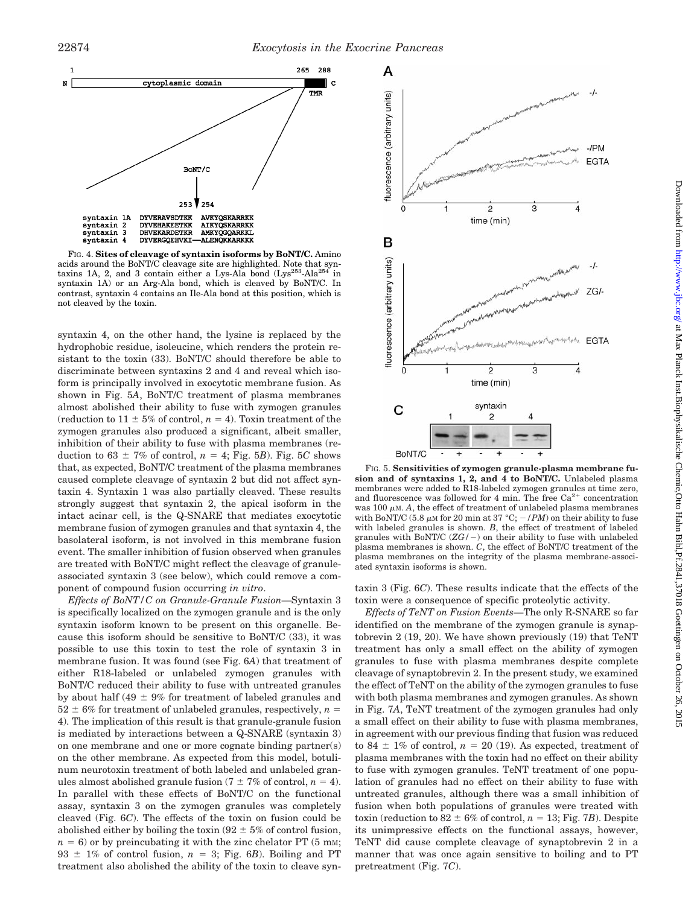

FIG. 4. **Sites of cleavage of syntaxin isoforms by BoNT/C.** Amino acids around the BoNT/C cleavage site are highlighted. Note that syntaxins 1A, 2, and 3 contain either a Lys-Ala bond (Lys<sup>253</sup>-Ala<sup>254</sup> in taxins 1A, 2, and 3 contain either a Lys-Ala bond  $(Lys^{253}\text{-}Ala^{25}$ syntaxin 1A) or an Arg-Ala bond, which is cleaved by BoNT/C. In contrast, syntaxin 4 contains an Ile-Ala bond at this position, which is not cleaved by the toxin.

syntaxin 4, on the other hand, the lysine is replaced by the hydrophobic residue, isoleucine, which renders the protein resistant to the toxin (33). BoNT/C should therefore be able to discriminate between syntaxins 2 and 4 and reveal which isoform is principally involved in exocytotic membrane fusion. As shown in Fig. 5*A*, BoNT/C treatment of plasma membranes almost abolished their ability to fuse with zymogen granules (reduction to  $11 \pm 5\%$  of control,  $n = 4$ ). Toxin treatment of the zymogen granules also produced a significant, albeit smaller, inhibition of their ability to fuse with plasma membranes (reduction to  $63 \pm 7\%$  of control,  $n = 4$ ; Fig. 5*B*). Fig. 5*C* shows that, as expected, BoNT/C treatment of the plasma membranes caused complete cleavage of syntaxin 2 but did not affect syntaxin 4. Syntaxin 1 was also partially cleaved. These results strongly suggest that syntaxin 2, the apical isoform in the intact acinar cell, is the Q-SNARE that mediates exocytotic membrane fusion of zymogen granules and that syntaxin 4, the basolateral isoform, is not involved in this membrane fusion event. The smaller inhibition of fusion observed when granules are treated with BoNT/C might reflect the cleavage of granuleassociated syntaxin 3 (see below), which could remove a component of compound fusion occurring *in vitro*.

*Effects of BoNT/C on Granule-Granule Fusion*—Syntaxin 3 is specifically localized on the zymogen granule and is the only syntaxin isoform known to be present on this organelle. Because this isoform should be sensitive to BoNT/C (33), it was possible to use this toxin to test the role of syntaxin 3 in membrane fusion. It was found (see Fig. 6*A*) that treatment of either R18-labeled or unlabeled zymogen granules with BoNT/C reduced their ability to fuse with untreated granules by about half (49  $\pm$  9% for treatment of labeled granules and  $52 \pm 6\%$  for treatment of unlabeled granules, respectively,  $n =$ 4). The implication of this result is that granule-granule fusion is mediated by interactions between a Q-SNARE (syntaxin 3) on one membrane and one or more cognate binding partner(s) on the other membrane. As expected from this model, botulinum neurotoxin treatment of both labeled and unlabeled granules almost abolished granule fusion ( $7 \pm 7\%$  of control,  $n = 4$ ). In parallel with these effects of BoNT/C on the functional assay, syntaxin 3 on the zymogen granules was completely cleaved (Fig. 6*C*). The effects of the toxin on fusion could be abolished either by boiling the toxin (92  $\pm$  5% of control fusion,  $n = 6$ ) or by preincubating it with the zinc chelator PT (5 mm; 93  $\pm$  1% of control fusion,  $n = 3$ ; Fig. 6*B*). Boiling and PT treatment also abolished the ability of the toxin to cleave syn-



FIG. 5. **Sensitivities of zymogen granule-plasma membrane fusion and of syntaxins 1, 2, and 4 to BoNT/C.** Unlabeled plasma membranes were added to R18-labeled zymogen granules at time zero, and fluorescence was followed for 4 min. The free  $Ca^{2+}$  concentration was 100  $\mu$ m. *A*, the effect of treatment of unlabeled plasma membranes with BoNT/C (5.8  $\mu$ M for 20 min at 37 °C;  $-$  /PM) on their ability to fuse with labeled granules is shown. *B*, the effect of treatment of labeled granules with  $BoNT/C$   $(ZG/-)$  on their ability to fuse with unlabeled plasma membranes is shown. *C*, the effect of BoNT/C treatment of the plasma membranes on the integrity of the plasma membrane-associated syntaxin isoforms is shown.

taxin 3 (Fig. 6*C*). These results indicate that the effects of the toxin were a consequence of specific proteolytic activity.

*Effects of TeNT on Fusion Events*—The only R-SNARE so far identified on the membrane of the zymogen granule is synaptobrevin 2 (19, 20). We have shown previously (19) that TeNT treatment has only a small effect on the ability of zymogen granules to fuse with plasma membranes despite complete cleavage of synaptobrevin 2. In the present study, we examined the effect of TeNT on the ability of the zymogen granules to fuse with both plasma membranes and zymogen granules. As shown in Fig. 7*A*, TeNT treatment of the zymogen granules had only a small effect on their ability to fuse with plasma membranes, in agreement with our previous finding that fusion was reduced to 84  $\pm$  1% of control,  $n = 20$  (19). As expected, treatment of plasma membranes with the toxin had no effect on their ability to fuse with zymogen granules. TeNT treatment of one population of granules had no effect on their ability to fuse with untreated granules, although there was a small inhibition of fusion when both populations of granules were treated with toxin (reduction to  $82 \pm 6\%$  of control,  $n = 13$ ; Fig. 7*B*). Despite its unimpressive effects on the functional assays, however, TeNT did cause complete cleavage of synaptobrevin 2 in a manner that was once again sensitive to boiling and to PT pretreatment (Fig. 7*C*).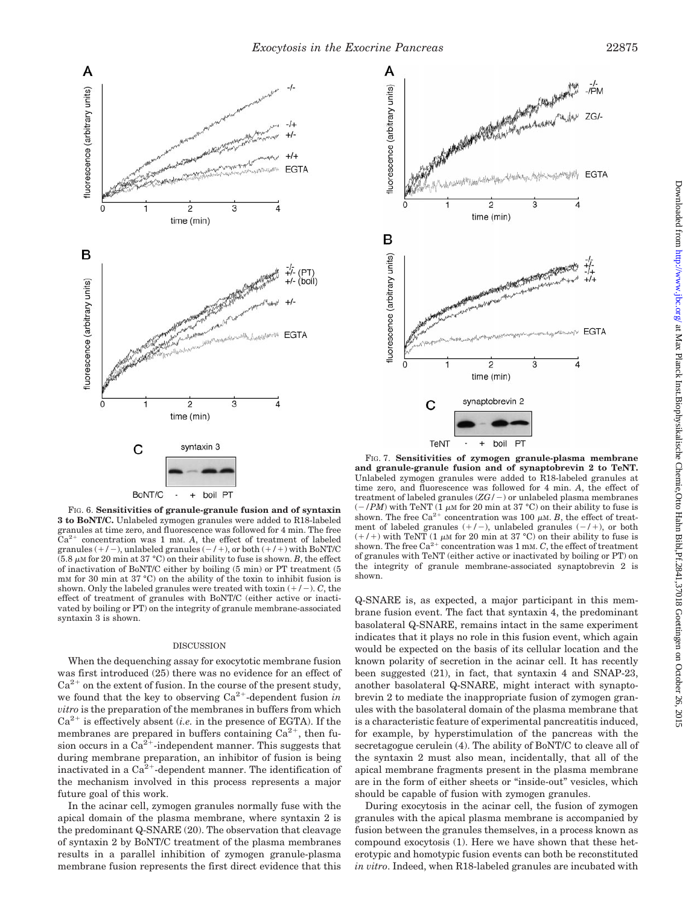

FIG. 6. **Sensitivities of granule-granule fusion and of syntaxin 3 to BoNT/C.** Unlabeled zymogen granules were added to R18-labeled granules at time zero, and fluorescence was followed for  $4 \text{ min}$ . The free  $Ca^{2+}$  concentration was 1 mM. A, the effect of treatment of labeled concentration was 1 mM. A, the effect of treatment of labeled granules  $(+/-)$ , unlabeled granules  $(-/+)$ , or both  $(+/+)$  with BoNT/C  $(5.8 \mu M$  for 20 min at 37 °C) on their ability to fuse is shown. *B*, the effect of inactivation of BoNT/C either by boiling (5 min) or PT treatment (5 mM for 30 min at 37 °C) on the ability of the toxin to inhibit fusion is shown. Only the labeled granules were treated with toxin  $(+/-)$ . *C*, the effect of treatment of granules with BoNT/C (either active or inactivated by boiling or PT) on the integrity of granule membrane-associated syntaxin 3 is shown.

#### DISCUSSION

When the dequenching assay for exocytotic membrane fusion was first introduced (25) there was no evidence for an effect of  $Ca^{2+}$  on the extent of fusion. In the course of the present study, we found that the key to observing  $Ca^{2+}$ -dependent fusion *in vitro* is the preparation of the membranes in buffers from which  $Ca^{2+}$  is effectively absent *(i.e.* in the presence of EGTA). If the membranes are prepared in buffers containing  $Ca^{2+}$ , then fusion occurs in a  $Ca^{2+}$ -independent manner. This suggests that during membrane preparation, an inhibitor of fusion is being inactivated in a  $Ca^{2+}$ -dependent manner. The identification of the mechanism involved in this process represents a major future goal of this work.

In the acinar cell, zymogen granules normally fuse with the apical domain of the plasma membrane, where syntaxin 2 is the predominant Q-SNARE (20). The observation that cleavage of syntaxin 2 by BoNT/C treatment of the plasma membranes results in a parallel inhibition of zymogen granule-plasma membrane fusion represents the first direct evidence that this



FIG. 7. **Sensitivities of zymogen granule-plasma membrane and granule-granule fusion and of synaptobrevin 2 to TeNT.** Unlabeled zymogen granules were added to R18-labeled granules at time zero, and fluorescence was followed for 4 min. *A*, the effect of treatment of labeled granules  $(ZG/-)$  or unlabeled plasma membranes  $(-/PM)$  with TeNT (1  $\mu$ M for 20 min at 37 °C) on their ability to fuse is shown. The free Ca<sup>2+</sup> concentration was 100  $\mu$ M. *B*, the effect of treatment of labeled granules  $(+/-)$ , unlabeled granules  $(-/+)$ , or both  $(+/+)$  with TeNT (1  $\mu$ M for 20 min at 37 °C) on their ability to fuse is shown. The free  $Ca^{2+}$  concentration was 1 mm. *C*, the effect of treatment of granules with TeNT (either active or inactivated by boiling or PT) on the integrity of granule membrane-associated synaptobrevin 2 is shown.

Q-SNARE is, as expected, a major participant in this membrane fusion event. The fact that syntaxin 4, the predominant basolateral Q-SNARE, remains intact in the same experiment indicates that it plays no role in this fusion event, which again would be expected on the basis of its cellular location and the known polarity of secretion in the acinar cell. It has recently been suggested (21), in fact, that syntaxin 4 and SNAP-23, another basolateral Q-SNARE, might interact with synaptobrevin 2 to mediate the inappropriate fusion of zymogen granules with the basolateral domain of the plasma membrane that is a characteristic feature of experimental pancreatitis induced, for example, by hyperstimulation of the pancreas with the secretagogue cerulein (4). The ability of BoNT/C to cleave all of the syntaxin 2 must also mean, incidentally, that all of the apical membrane fragments present in the plasma membrane are in the form of either sheets or "inside-out" vesicles, which should be capable of fusion with zymogen granules.

During exocytosis in the acinar cell, the fusion of zymogen granules with the apical plasma membrane is accompanied by fusion between the granules themselves, in a process known as compound exocytosis (1). Here we have shown that these heterotypic and homotypic fusion events can both be reconstituted *in vitro*. Indeed, when R18-labeled granules are incubated with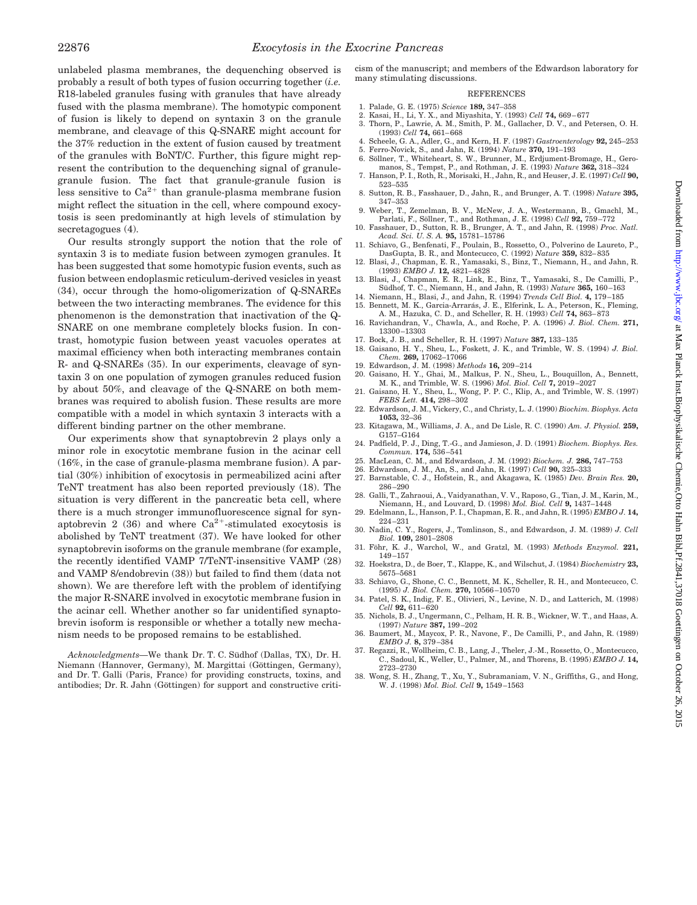unlabeled plasma membranes, the dequenching observed is probably a result of both types of fusion occurring together (*i.e.* R18-labeled granules fusing with granules that have already fused with the plasma membrane). The homotypic component of fusion is likely to depend on syntaxin 3 on the granule membrane, and cleavage of this Q-SNARE might account for the 37% reduction in the extent of fusion caused by treatment of the granules with BoNT/C. Further, this figure might represent the contribution to the dequenching signal of granulegranule fusion. The fact that granule-granule fusion is less sensitive to  $Ca^{2+}$  than granule-plasma membrane fusion might reflect the situation in the cell, where compound exocytosis is seen predominantly at high levels of stimulation by secretagogues (4).

Our results strongly support the notion that the role of syntaxin 3 is to mediate fusion between zymogen granules. It has been suggested that some homotypic fusion events, such as fusion between endoplasmic reticulum-derived vesicles in yeast (34), occur through the homo-oligomerization of Q-SNAREs between the two interacting membranes. The evidence for this phenomenon is the demonstration that inactivation of the Q-SNARE on one membrane completely blocks fusion. In contrast, homotypic fusion between yeast vacuoles operates at maximal efficiency when both interacting membranes contain R- and Q-SNAREs (35). In our experiments, cleavage of syntaxin 3 on one population of zymogen granules reduced fusion by about 50%, and cleavage of the Q-SNARE on both membranes was required to abolish fusion. These results are more compatible with a model in which syntaxin 3 interacts with a different binding partner on the other membrane.

Our experiments show that synaptobrevin 2 plays only a minor role in exocytotic membrane fusion in the acinar cell (16%, in the case of granule-plasma membrane fusion). A partial (30%) inhibition of exocytosis in permeabilized acini after TeNT treatment has also been reported previously (18). The situation is very different in the pancreatic beta cell, where there is a much stronger immunofluorescence signal for synaptobrevin 2 (36) and where  $Ca^{2+}$ -stimulated exocytosis is abolished by TeNT treatment (37). We have looked for other synaptobrevin isoforms on the granule membrane (for example, the recently identified VAMP 7/TeNT-insensitive VAMP (28) and VAMP 8/endobrevin (38)) but failed to find them (data not shown). We are therefore left with the problem of identifying the major R-SNARE involved in exocytotic membrane fusion in the acinar cell. Whether another so far unidentified synaptobrevin isoform is responsible or whether a totally new mechanism needs to be proposed remains to be established.

Acknowledgments—We thank Dr. T. C. Südhof (Dallas, TX), Dr. H. Niemann (Hannover, Germany), M. Margittai (Göttingen, Germany), and Dr. T. Galli (Paris, France) for providing constructs, toxins, and antibodies; Dr. R. Jahn (Göttingen) for support and constructive criticism of the manuscript; and members of the Edwardson laboratory for many stimulating discussions.

## **REFERENCES**

- 1. Palade, G. E. (1975) *Science* **189,** 347–358
- 
- 2. Kasai, H., Li, Y. X., and Miyashita, Y. (1993) *Cell* **74,** 669–677 3. Thorn, P., Lawrie, A. M., Smith, P. M., Gallacher, D. V., and Petersen, O. H. (1993) *Cell* **74,** 661–668
- 4. Scheele, G. A., Adler, G., and Kern, H. F. (1987) *Gastroenterology* **92,** 245–253
- 5. Ferro-Novick, S., and Jahn, R. (1994) *Nature* **370,** 191–193
- 6. So¨llner, T., Whiteheart, S. W., Brunner, M., Erdjument-Bromage, H., Gero-manos, S., Tempst, P., and Rothman, J. E. (1993) *Nature* **362,** 318–324 7. Hanson, P. I., Roth, R., Morisaki, H., Jahn, R., and Heuser, J. E. (1997) *Cell* **90,**
- 523–535 8. Sutton, R. B., Fasshauer, D., Jahn, R., and Brunger, A. T. (1998) *Nature* **395,**
- 347–353
- 9. Weber, T., Zemelman, B. V., McNew, J. A., Westermann, B., Gmachl, M., Parlati, F., Söllner, T., and Rothman, J. E. (1998) *Cell* **92,** 759–772<br>10. Fasshauer, D., Sutton, R. B., Brunger, A. T., and Jahn, R. (1998) *Proc. Natl.*
- *Acad. Sci. U. S. A.* **95,** 15781–15786
- 11. Schiavo, G., Benfenati, F., Poulain, B., Rossetto, O., Polverino de Laureto, P., DasGupta, B. R., and Montecucco, C. (1992) *Nature* **359,** 832–835
- 12. Blasi, J., Chapman, E. R., Yamasaki, S., Binz, T., Niemann, H., and Jahn, R. (1993) *EMBO J.* **12,** 4821–4828
- 13. Blasi, J., Chapman, E. R., Link, E., Binz, T., Yamasaki, S., De Camilli, P., Südhof, T. C., Niemann, H., and Jahn, R. (1993) *Nature* **365,** 160–163
- 14. Niemann, H., Blasi, J., and Jahn, R. (1994) *Trends Cell Biol.* **4,** 179–185 15. Bennett, M. K., Garcia-Arrarás, J. E., Elferink, L. A., Peterson, K., Fleming,
- A. M., Hazuka, C. D., and Scheller, R. H. (1993) *Cell* **74,** 863–873 16. Ravichandran, V., Chawla, A., and Roche, P. A. (1996) *J. Biol. Chem.* **271,** 13300–13303
- 17. Bock, J. B., and Scheller, R. H. (1997) *Nature* **387,** 133–135
- 18. Gaisano, H. Y., Sheu, L., Foskett, J. K., and Trimble, W. S. (1994) *J. Biol. Chem.* **269,** 17062–17066
- 
- 19. Edwardson, J. M. (1998) *Methods* **16,** 209–214 20. Gaisano, H. Y., Ghai, M., Malkus, P. N., Sheu, L., Bouquillon, A., Bennett, M. K., and Trimble, W. S. (1996) *Mol. Biol. Cell* **7,** 2019–2027
- 21. Gaisano, H. Y., Sheu, L., Wong, P. P. C., Klip, A., and Trimble, W. S. (1997) *FEBS Lett.* **414,** 298–302
- 22. Edwardson, J. M., Vickery, C., and Christy, L. J. (1990) *Biochim. Biophys. Acta* **1053,** 32–36
- 23. Kitagawa, M., Williams, J. A., and De Lisle, R. C. (1990) *Am. J. Physiol.* **259,** G157–G164
- 24. Padfield, P. J., Ding, T.-G., and Jamieson, J. D. (1991) *Biochem. Biophys. Res. Commun.* **174,** 536–541
- 25. MacLean, C. M., and Edwardson, J. M. (1992) *Biochem. J.* **286,** 747–753
- 26. Edwardson, J. M., An, S., and Jahn, R. (1997) *Cell* **90,** 325–333
- 27. Barnstable, C. J., Hofstein, R., and Akagawa, K. (1985) *Dev. Brain Res.* **20,** 286–290
- 28. Galli, T., Zahraoui, A., Vaidyanathan, V. V., Raposo, G., Tian, J. M., Karin, M., Niemann, H., and Louvard, D. (1998) *Mol. Biol. Cell* **9,** 1437–1448
- 29. Edelmann, L., Hanson, P. I., Chapman, E. R., and Jahn, R. (1995) *EMBO J.* **14,** 224–231
- 30. Nadin, C. Y., Rogers, J., Tomlinson, S., and Edwardson, J. M. (1989) *J. Cell Biol.* **109,** 2801–2808
- 31. Föhr, K. J., Warchol, W., and Gratzl, M. (1993) *Methods Enzymol*. 221, 149–157
- 32. Hoekstra, D., de Boer, T., Klappe, K., and Wilschut, J. (1984) *Biochemistry* **23,** 5675–5681
- 33. Schiavo, G., Shone, C. C., Bennett, M. K., Scheller, R. H., and Montecucco, C. (1995) *J. Biol. Chem.* **270,** 10566–10570
- 34. Patel, S. K., Indig, F. E., Olivieri, N., Levine, N. D., and Latterich, M. (1998) *Cell* **92,** 611–620 35. Nichols, B. J., Ungermann, C., Pelham, H. R. B., Wickner, W. T., and Haas, A.
- (1997) *Nature* **387,** 199–202 36. Baumert, M., Maycox, P. R., Navone, F., De Camilli, P., and Jahn, R. (1989)
- *EMBO J.* **8,** 379–384
- 37. Regazzi, R., Wollheim, C. B., Lang, J., Theler, J.-M., Rossetto, O., Montecucco, C., Sadoul, K., Weller, U., Palmer, M., and Thorens, B. (1995) *EMBO J.* **14,** 2723–2730
- 38. Wong, S. H., Zhang, T., Xu, Y., Subramaniam, V. N., Griffiths, G., and Hong, W. J. (1998) *Mol. Biol. Cell* **9,** 1549–1563